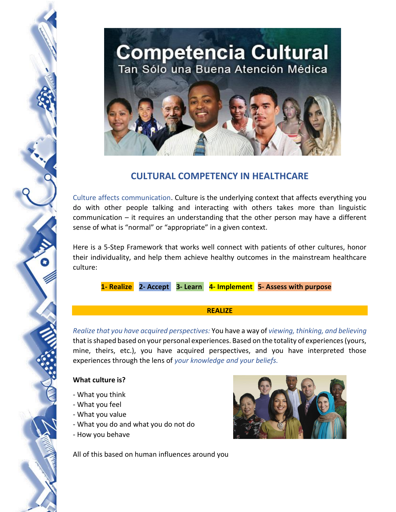

# **CULTURAL COMPETENCY IN HEALTHCARE**

Culture affects communication. Culture is the underlying context that affects everything you do with other people talking and interacting with others takes more than linguistic communication – it requires an understanding that the other person may have a different sense of what is "normal" or "appropriate" in a given context.

Here is a 5-Step Framework that works well connect with patients of other cultures, honor their individuality, and help them achieve healthy outcomes in the mainstream healthcare culture:

 **1- Realize 2- Accept 3- Learn 4- Implement 5- Assess with purpose** 

#### **REALIZE**

*Realize that you have acquired perspectives:* You have a way of *viewing, thinking, and believing* that is shaped based on your personal experiences. Based on the totality of experiences (yours, mine, theirs, etc.), you have acquired perspectives, and you have interpreted those experiences through the lens of *your knowledge and your beliefs.*

## **What culture is?**

- What you think
- What you feel
- What you value
- What you do and what you do not do
- How you behave

All of this based on human influences around you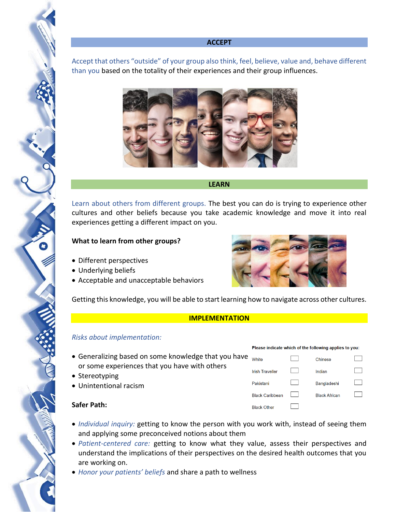#### **ACCEPT**

Accept that others "outside" of your group also think, feel, believe, value and, behave different than you based on the totality of their experiences and their group influences.



#### **LEARN**

Learn about others from different groups. The best you can do is trying to experience other cultures and other beliefs because you take academic knowledge and move it into real experiences getting a different impact on you.

## **What to learn from other groups?**

- Different perspectives
- Underlying beliefs
- Acceptable and unacceptable behaviors



Getting this knowledge, you will be able to start learning how to navigate across other cultures.

#### **IMPLEMENTATION**

## *Risks about implementation:*

- Generalizing based on some knowledge that you have or some experiences that you have with others
- Stereotyping
- Unintentional racism

## **Safer Path:**

- *Individual inquiry:* getting to know the person with you work with, instead of seeing them and applying some preconceived notions about them
- *Patient-centered care:* getting to know what they value, assess their perspectives and understand the implications of their perspectives on the desired health outcomes that you are working on.
- *Honor your patients' beliefs* and share a path to wellness

| Please indicate which of the following applies to you: |  |                      |  |
|--------------------------------------------------------|--|----------------------|--|
| White                                                  |  | Chinese              |  |
| <b>Irish Traveller</b>                                 |  | Indian               |  |
| Pakistani                                              |  | <b>Bangladeshi</b>   |  |
| <b>Black Caribbean</b>                                 |  | <b>Black African</b> |  |
| <b>Black Other</b>                                     |  |                      |  |